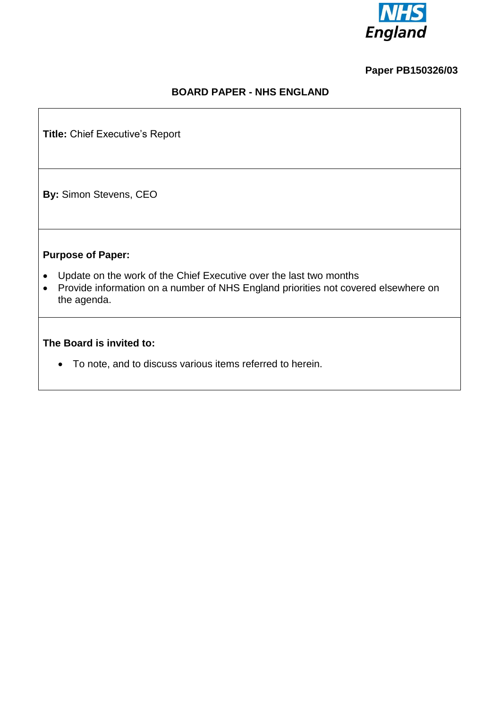

#### **Paper PB150326/03**

## **BOARD PAPER - NHS ENGLAND**

**Title:** Chief Executive's Report

**By:** Simon Stevens, CEO

### **Purpose of Paper:**

- Update on the work of the Chief Executive over the last two months
- Provide information on a number of NHS England priorities not covered elsewhere on the agenda.

#### **The Board is invited to:**

To note, and to discuss various items referred to herein.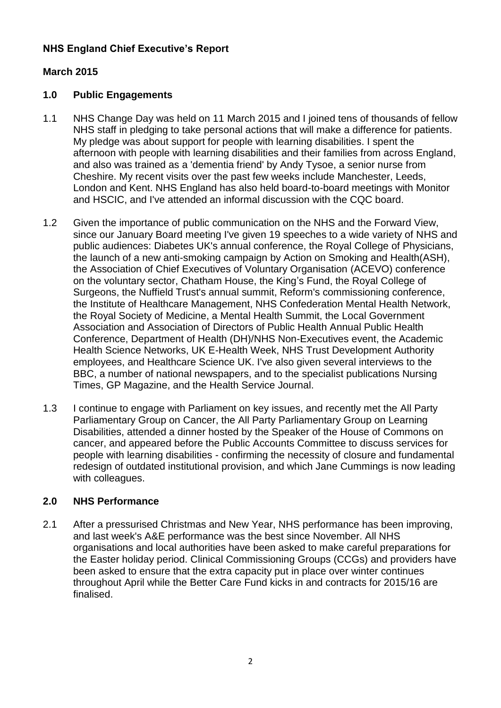### **NHS England Chief Executive's Report**

### **March 2015**

### **1.0 Public Engagements**

- 1.1 NHS Change Day was held on 11 March 2015 and I joined tens of thousands of fellow NHS staff in pledging to take personal actions that will make a difference for patients. My pledge was about support for people with learning disabilities. I spent the afternoon with people with learning disabilities and their families from across England, and also was trained as a 'dementia friend' by Andy Tysoe, a senior nurse from Cheshire. My recent visits over the past few weeks include Manchester, Leeds, London and Kent. NHS England has also held board-to-board meetings with Monitor and HSCIC, and I've attended an informal discussion with the CQC board.
- 1.2 Given the importance of public communication on the NHS and the Forward View, since our January Board meeting I've given 19 speeches to a wide variety of NHS and public audiences: Diabetes UK's annual conference, the Royal College of Physicians, the launch of a new anti-smoking campaign by Action on Smoking and Health(ASH), the Association of Chief Executives of Voluntary Organisation (ACEVO) conference on the voluntary sector, Chatham House, the King's Fund, the Royal College of Surgeons, the Nuffield Trust's annual summit, Reform's commissioning conference, the Institute of Healthcare Management, NHS Confederation Mental Health Network, the Royal Society of Medicine, a Mental Health Summit, the Local Government Association and Association of Directors of Public Health Annual Public Health Conference, Department of Health (DH)/NHS Non-Executives event, the Academic Health Science Networks, UK E-Health Week, NHS Trust Development Authority employees, and Healthcare Science UK. I've also given several interviews to the BBC, a number of national newspapers, and to the specialist publications Nursing Times, GP Magazine, and the Health Service Journal.
- 1.3 I continue to engage with Parliament on key issues, and recently met the All Party Parliamentary Group on Cancer, the All Party Parliamentary Group on Learning Disabilities, attended a dinner hosted by the Speaker of the House of Commons on cancer, and appeared before the Public Accounts Committee to discuss services for people with learning disabilities - confirming the necessity of closure and fundamental redesign of outdated institutional provision, and which Jane Cummings is now leading with colleagues.

### **2.0 NHS Performance**

2.1 After a pressurised Christmas and New Year, NHS performance has been improving, and last week's A&E performance was the best since November. All NHS organisations and local authorities have been asked to make careful preparations for the Easter holiday period. Clinical Commissioning Groups (CCGs) and providers have been asked to ensure that the extra capacity put in place over winter continues throughout April while the Better Care Fund kicks in and contracts for 2015/16 are finalised.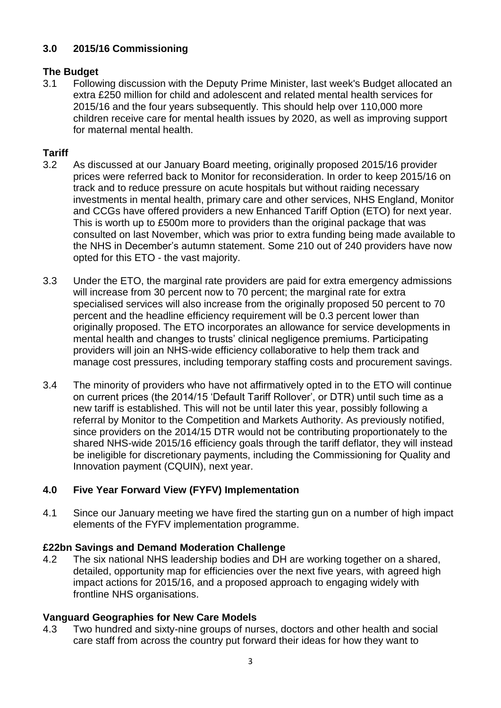# **3.0 2015/16 Commissioning**

# **The Budget**

3.1 Following discussion with the Deputy Prime Minister, last week's Budget allocated an extra £250 million for child and adolescent and related mental health services for 2015/16 and the four years subsequently. This should help over 110,000 more children receive care for mental health issues by 2020, as well as improving support for maternal mental health.

# **Tariff**

- 3.2 As discussed at our January Board meeting, originally proposed 2015/16 provider prices were referred back to Monitor for reconsideration. In order to keep 2015/16 on track and to reduce pressure on acute hospitals but without raiding necessary investments in mental health, primary care and other services, NHS England, Monitor and CCGs have offered providers a new Enhanced Tariff Option (ETO) for next year. This is worth up to £500m more to providers than the original package that was consulted on last November, which was prior to extra funding being made available to the NHS in December's autumn statement. Some 210 out of 240 providers have now opted for this ETO - the vast majority.
- 3.3 Under the ETO, the marginal rate providers are paid for extra emergency admissions will increase from 30 percent now to 70 percent; the marginal rate for extra specialised services will also increase from the originally proposed 50 percent to 70 percent and the headline efficiency requirement will be 0.3 percent lower than originally proposed. The ETO incorporates an allowance for service developments in mental health and changes to trusts' clinical negligence premiums. Participating providers will join an NHS-wide efficiency collaborative to help them track and manage cost pressures, including temporary staffing costs and procurement savings.
- 3.4 The minority of providers who have not affirmatively opted in to the ETO will continue on current prices (the 2014/15 'Default Tariff Rollover', or DTR) until such time as a new tariff is established. This will not be until later this year, possibly following a referral by Monitor to the Competition and Markets Authority. As previously notified, since providers on the 2014/15 DTR would not be contributing proportionately to the shared NHS-wide 2015/16 efficiency goals through the tariff deflator, they will instead be ineligible for discretionary payments, including the Commissioning for Quality and Innovation payment (CQUIN), next year.

# **4.0 Five Year Forward View (FYFV) Implementation**

4.1 Since our January meeting we have fired the starting gun on a number of high impact elements of the FYFV implementation programme.

# **£22bn Savings and Demand Moderation Challenge**

4.2 The six national NHS leadership bodies and DH are working together on a shared, detailed, opportunity map for efficiencies over the next five years, with agreed high impact actions for 2015/16, and a proposed approach to engaging widely with frontline NHS organisations.

# **Vanguard Geographies for New Care Models**

4.3 Two hundred and sixty-nine groups of nurses, doctors and other health and social care staff from across the country put forward their ideas for how they want to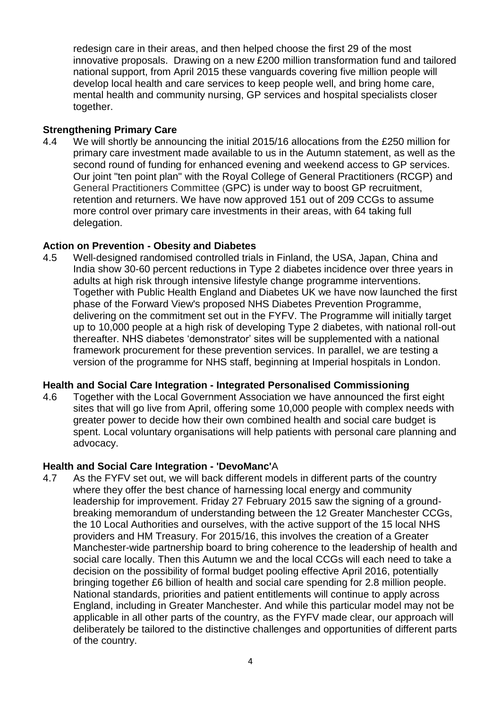redesign care in their areas, and then helped choose the first 29 of the most innovative proposals. Drawing on a new £200 million transformation fund and tailored national support, from April 2015 these vanguards covering five million people will develop local health and care services to keep people well, and bring home care, mental health and community nursing, GP services and hospital specialists closer together.

### **Strengthening Primary Care**

4.4 We will shortly be announcing the initial 2015/16 allocations from the £250 million for primary care investment made available to us in the Autumn statement, as well as the second round of funding for enhanced evening and weekend access to GP services. Our joint "ten point plan" with the Royal College of General Practitioners (RCGP) and General Practitioners Committee (GPC) is under way to boost GP recruitment, retention and returners. We have now approved 151 out of 209 CCGs to assume more control over primary care investments in their areas, with 64 taking full delegation.

### **Action on Prevention - Obesity and Diabetes**

4.5 Well-designed randomised controlled trials in Finland, the USA, Japan, China and India show 30-60 percent reductions in Type 2 diabetes incidence over three years in adults at high risk through intensive lifestyle change programme interventions. Together with Public Health England and Diabetes UK we have now launched the first phase of the Forward View's proposed NHS Diabetes Prevention Programme, delivering on the commitment set out in the FYFV. The Programme will initially target up to 10,000 people at a high risk of developing Type 2 diabetes, with national roll-out thereafter. NHS diabetes 'demonstrator' sites will be supplemented with a national framework procurement for these prevention services. In parallel, we are testing a version of the programme for NHS staff, beginning at Imperial hospitals in London.

#### **Health and Social Care Integration - Integrated Personalised Commissioning**

4.6 Together with the Local Government Association we have announced the first eight sites that will go live from April, offering some 10,000 people with complex needs with greater power to decide how their own combined health and social care budget is spent. Local voluntary organisations will help patients with personal care planning and advocacy.

#### **Health and Social Care Integration - 'DevoManc'**A

4.7 As the FYFV set out, we will back different models in different parts of the country where they offer the best chance of harnessing local energy and community leadership for improvement. Friday 27 February 2015 saw the signing of a groundbreaking memorandum of understanding between the 12 Greater Manchester CCGs, the 10 Local Authorities and ourselves, with the active support of the 15 local NHS providers and HM Treasury. For 2015/16, this involves the creation of a Greater Manchester-wide partnership board to bring coherence to the leadership of health and social care locally. Then this Autumn we and the local CCGs will each need to take a decision on the possibility of formal budget pooling effective April 2016, potentially bringing together £6 billion of health and social care spending for 2.8 million people. National standards, priorities and patient entitlements will continue to apply across England, including in Greater Manchester. And while this particular model may not be applicable in all other parts of the country, as the FYFV made clear, our approach will deliberately be tailored to the distinctive challenges and opportunities of different parts of the country.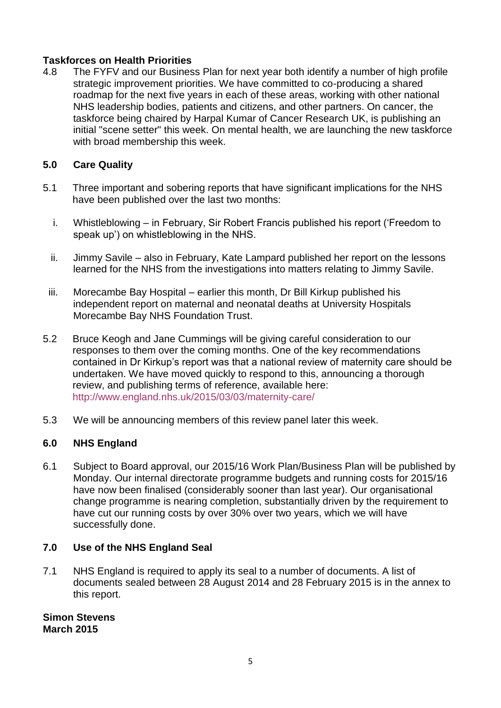### **Taskforces on Health Priorities**

4.8 The FYFV and our Business Plan for next year both identify a number of high profile strategic improvement priorities. We have committed to co-producing a shared roadmap for the next five years in each of these areas, working with other national NHS leadership bodies, patients and citizens, and other partners. On cancer, the taskforce being chaired by Harpal Kumar of Cancer Research UK, is publishing an initial "scene setter" this week. On mental health, we are launching the new taskforce with broad membership this week.

### **5.0 Care Quality**

- 5.1 Three important and sobering reports that have significant implications for the NHS have been published over the last two months:
	- i. Whistleblowing in February, Sir Robert Francis published his report ('Freedom to speak up') on whistleblowing in the NHS.
	- ii. Jimmy Savile also in February, Kate Lampard published her report on the lessons learned for the NHS from the investigations into matters relating to Jimmy Savile.
	- iii. Morecambe Bay Hospital earlier this month, Dr Bill Kirkup published his independent report on maternal and neonatal deaths at University Hospitals Morecambe Bay NHS Foundation Trust.
- 5.2 Bruce Keogh and Jane Cummings will be giving careful consideration to our responses to them over the coming months. One of the key recommendations contained in Dr Kirkup's report was that a national review of maternity care should be undertaken. We have moved quickly to respond to this, announcing a thorough review, and publishing terms of reference, available here: <http://www.england.nhs.uk/2015/03/03/maternity-care/>
- 5.3 We will be announcing members of this review panel later this week.

#### **6.0 NHS England**

6.1 Subject to Board approval, our 2015/16 Work Plan/Business Plan will be published by Monday. Our internal directorate programme budgets and running costs for 2015/16 have now been finalised (considerably sooner than last year). Our organisational change programme is nearing completion, substantially driven by the requirement to have cut our running costs by over 30% over two years, which we will have successfully done.

#### **7.0 Use of the NHS England Seal**

7.1 NHS England is required to apply its seal to a number of documents. A list of documents sealed between 28 August 2014 and 28 February 2015 is in the annex to this report.

**Simon Stevens March 2015**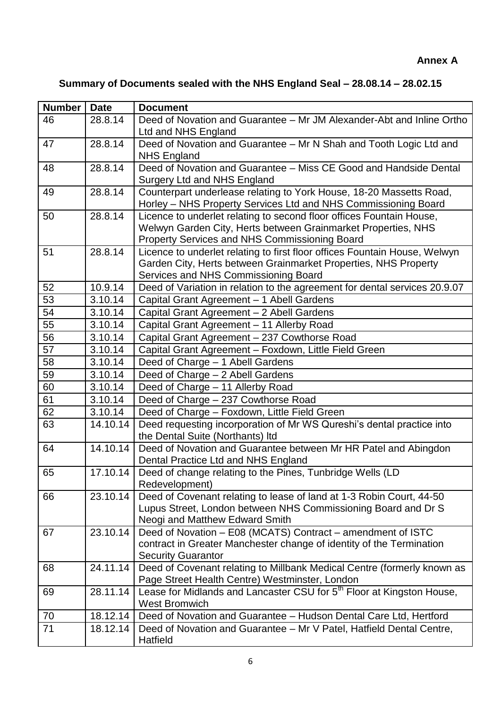# **Summary of Documents sealed with the NHS England Seal – 28.08.14 – 28.02.15**

| <b>Number</b> | <b>Date</b> | <b>Document</b>                                                                                                                     |
|---------------|-------------|-------------------------------------------------------------------------------------------------------------------------------------|
| 46            | 28.8.14     | Deed of Novation and Guarantee – Mr JM Alexander-Abt and Inline Ortho                                                               |
|               |             | Ltd and NHS England                                                                                                                 |
| 47            | 28.8.14     | Deed of Novation and Guarantee - Mr N Shah and Tooth Logic Ltd and                                                                  |
|               |             | <b>NHS England</b>                                                                                                                  |
| 48            | 28.8.14     | Deed of Novation and Guarantee - Miss CE Good and Handside Dental                                                                   |
|               |             | Surgery Ltd and NHS England                                                                                                         |
| 49            | 28.8.14     | Counterpart underlease relating to York House, 18-20 Massetts Road,                                                                 |
|               |             | Horley - NHS Property Services Ltd and NHS Commissioning Board                                                                      |
| 50            | 28.8.14     | Licence to underlet relating to second floor offices Fountain House,                                                                |
|               |             | Welwyn Garden City, Herts between Grainmarket Properties, NHS                                                                       |
|               |             | Property Services and NHS Commissioning Board                                                                                       |
| 51            | 28.8.14     | Licence to underlet relating to first floor offices Fountain House, Welwyn                                                          |
|               |             | Garden City, Herts between Grainmarket Properties, NHS Property<br>Services and NHS Commissioning Board                             |
| 52            | 10.9.14     | Deed of Variation in relation to the agreement for dental services 20.9.07                                                          |
| 53            | 3.10.14     | Capital Grant Agreement - 1 Abell Gardens                                                                                           |
| 54            | 3.10.14     | Capital Grant Agreement - 2 Abell Gardens                                                                                           |
| 55            | 3.10.14     | Capital Grant Agreement - 11 Allerby Road                                                                                           |
| 56            | 3.10.14     | Capital Grant Agreement - 237 Cowthorse Road                                                                                        |
| 57            | 3.10.14     | Capital Grant Agreement - Foxdown, Little Field Green                                                                               |
| 58            | 3.10.14     | Deed of Charge - 1 Abell Gardens                                                                                                    |
| 59            | 3.10.14     | Deed of Charge - 2 Abell Gardens                                                                                                    |
| 60            | 3.10.14     | Deed of Charge - 11 Allerby Road                                                                                                    |
| 61            | 3.10.14     | Deed of Charge - 237 Cowthorse Road                                                                                                 |
| 62            | 3.10.14     | Deed of Charge - Foxdown, Little Field Green                                                                                        |
| 63            | 14.10.14    | Deed requesting incorporation of Mr WS Qureshi's dental practice into                                                               |
|               |             | the Dental Suite (Northants) Itd                                                                                                    |
| 64            | 14.10.14    | Deed of Novation and Guarantee between Mr HR Patel and Abingdon                                                                     |
|               |             | Dental Practice Ltd and NHS England                                                                                                 |
| 65            | 17.10.14    | Deed of change relating to the Pines, Tunbridge Wells (LD                                                                           |
|               |             | Redevelopment)                                                                                                                      |
| 66            | 23.10.14    | Deed of Covenant relating to lease of land at 1-3 Robin Court, 44-50                                                                |
|               |             | Lupus Street, London between NHS Commissioning Board and Dr S                                                                       |
|               |             | Neogi and Matthew Edward Smith                                                                                                      |
| 67            | 23.10.14    | Deed of Novation - E08 (MCATS) Contract - amendment of ISTC                                                                         |
|               |             | contract in Greater Manchester change of identity of the Termination                                                                |
|               |             | <b>Security Guarantor</b>                                                                                                           |
| 68            | 24.11.14    | Deed of Covenant relating to Millbank Medical Centre (formerly known as                                                             |
| 69            | 28.11.14    | Page Street Health Centre) Westminster, London<br>Lease for Midlands and Lancaster CSU for 5 <sup>th</sup> Floor at Kingston House, |
|               |             | <b>West Bromwich</b>                                                                                                                |
| 70            | 18.12.14    | Deed of Novation and Guarantee - Hudson Dental Care Ltd, Hertford                                                                   |
| 71            | 18.12.14    | Deed of Novation and Guarantee - Mr V Patel, Hatfield Dental Centre,                                                                |
|               |             | Hatfield                                                                                                                            |